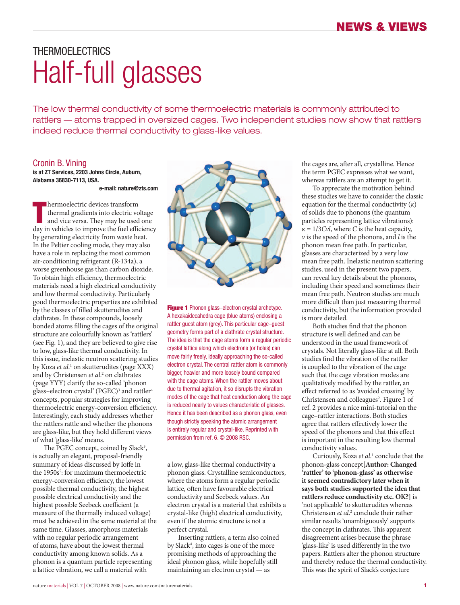# THERMOFI FCTRICS Half-full glasses

The low thermal conductivity of some thermoelectric materials is commonly attributed to rattlers — atoms trapped in oversized cages. Two independent studies now show that rattlers indeed reduce thermal conductivity to glass-like values.

### Cronin B. Vining

**is at ZT Services, 2203 Johns Circle, Auburn, Alabama 36830-7113, USA.**

#### **e-mail: nature@zts.com**

**Thermoelectric devices transform**<br>
thermal gradients into electric voltage<br>
and vice versa. They may be used one<br>
day in vehicles to improve the fuel efficiency hermoelectric devices transform thermal gradients into electric voltage and vice versa. They may be used one by generating electricity from waste heat. In the Peltier cooling mode, they may also have a role in replacing the most common air-conditioning refrigerant (R-134a), a worse greenhouse gas than carbon dioxide. To obtain high efficiency, thermoelectric materials need a high electrical conductivity and low thermal conductivity. Particularly good thermoelectric properties are exhibited by the classes of filled skutterudites and clathrates. In these compounds, loosely bonded atoms filling the cages of the original structure are colourfully known as 'rattlers' (see Fig. 1), and they are believed to give rise to low, glass-like thermal conductivity. In this issue, inelastic neutron scattering studies by Koza *et al*.<sup>1</sup> on skutterudites (page XXX) and by Christensen *et al*. 2 on clathrates (page YYY) clarify the so-called 'phonon glass–electron crystal' (PGEC)<sup>3</sup> and rattler<sup>4</sup> concepts, popular strategies for improving thermoelectric energy-conversion efficiency. Interestingly, each study addresses whether the rattlers rattle and whether the phonons are glass-like, but they hold different views of what 'glass-like' means.

The PGEC concept, coined by Slack<sup>3</sup>, is actually an elegant, proposal-friendly summary of ideas discussed by Ioffe in the 1950s<sup>5</sup>: for maximum thermoelectric energy-conversion efficiency, the lowest possible thermal conductivity, the highest possible electrical conductivity and the highest possible Seebeck coefficient (a measure of the thermally induced voltage) must be achieved in the same material at the same time. Glasses, amorphous materials with no regular periodic arrangement of atoms, have about the lowest thermal conductivity among known solids. As a phonon is a quantum particle representing a lattice vibration, we call a material with



**Figure 1** Phonon glass–electron crystal archetype. A hexakaidecahedra cage (blue atoms) enclosing a rattler guest atom (grey). This particular cage–guest geometry forms part of a clathrate crystal structure. The idea is that the cage atoms form a regular periodic crystal lattice along which electrons (or holes) can move fairly freely, ideally approaching the so-called electron crystal. The central rattler atom is commonly bigger, heavier and more loosely bound compared with the cage atoms. When the rattler moves about due to thermal agitation, it so disrupts the vibration modes of the cage that heat conduction along the cage is reduced nearly to values characteristic of glasses. Hence it has been described as a phonon glass, even though strictly speaking the atomic arrangement is entirely regular and crystal-like. Reprinted with permission from ref. 6. © 2008 RSC.

a low, glass-like thermal conductivity a phonon glass. Crystalline semiconductors, where the atoms form a regular periodic lattice, often have favourable electrical conductivity and Seebeck values. An electron crystal is a material that exhibits a crystal-like (high) electrical conductivity, even if the atomic structure is not a perfect crystal.

Inserting rattlers, a term also coined by Slack4 , into cages is one of the more promising methods of approaching the ideal phonon glass, while hopefully still maintaining an electron crystal — as

the cages are, after all, crystalline. Hence the term PGEC expresses what we want, whereas rattlers are an attempt to get it.

To appreciate the motivation behind these studies we have to consider the classic equation for the thermal conductivity (*κ*) of solids due to phonons (the quantum particles representing lattice vibrations):  $\kappa = 1/3$ *Cvl*, where *C* is the heat capacity, *v* is the speed of the phonons, and *l* is the phonon mean free path. In particular, glasses are characterized by a very low mean free path. Inelastic neutron scattering studies, used in the present two papers, can reveal key details about the phonons, including their speed and sometimes their mean free path. Neutron studies are much more difficult than just measuring thermal conductivity, but the information provided is more detailed.

Both studies find that the phonon structure is well defined and can be understood in the usual framework of crystals. Not literally glass-like at all. Both studies find the vibration of the rattler is coupled to the vibration of the cage such that the cage vibration modes are qualitatively modified by the rattler, an effect referred to as 'avoided crossing' by Christensen and colleagues<sup>2</sup>. Figure 1 of ref. 2 provides a nice mini-tutorial on the cage–rattler interactions. Both studies agree that rattlers effectively lower the speed of the phonons and that this effect is important in the resulting low thermal conductivity values.

Curiously, Koza et al.<sup>1</sup> conclude that the phonon-glass concept**[Author: Changed 'rattler' to 'phonon-glass' as otherwise it seemed contradictory later when it says both studies supported the idea that rattlers reduce conductivity etc. OK?]** is 'not applicable' to skutterudites whereas Christensen *et al*. 2 conclude their rather similar results 'unambiguously' supports the concept in clathrates. This apparent disagreement arises because the phrase 'glass-like' is used differently in the two papers. Rattlers alter the phonon structure and thereby reduce the thermal conductivity. This was the spirit of Slack's conjecture